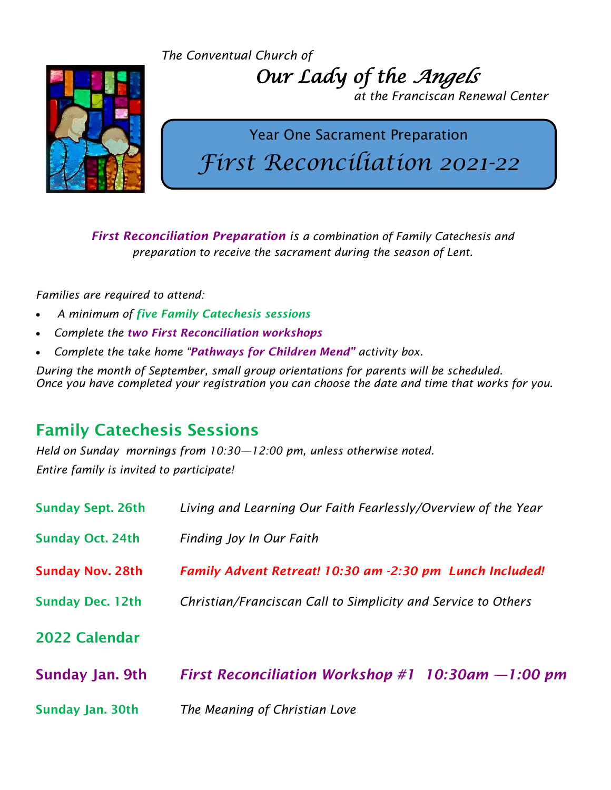*The Conventual Church of*



 *Our Lady of the Angels* 

 *at the Franciscan Renewal Center*

## Year One Sacrament Preparation *First Reconciliation 2021-22*

*First Reconciliation Preparation is a combination of Family Catechesis and preparation to receive the sacrament during the season of Lent.* 

*Families are required to attend:*

- *A minimum of five Family Catechesis sessions*
- *Complete the two First Reconciliation workshops*
- *Complete the take home "Pathways for Children Mend" activity box.*

*During the month of September, small group orientations for parents will be scheduled. Once you have completed your registration you can choose the date and time that works for you.* 

## Family Catechesis Sessions

*Held on Sunday mornings from 10:30—12:00 pm, unless otherwise noted. Entire family is invited to participate!*

| <b>Sunday Sept. 26th</b> | Living and Learning Our Faith Fearlessly/Overview of the Year |  |
|--------------------------|---------------------------------------------------------------|--|
| <b>Sunday Oct. 24th</b>  | Finding Joy In Our Faith                                      |  |
| <b>Sunday Nov. 28th</b>  | Family Advent Retreat! 10:30 am -2:30 pm Lunch Included!      |  |
| <b>Sunday Dec. 12th</b>  | Christian/Franciscan Call to Simplicity and Service to Others |  |
| 2022 Calendar            |                                                               |  |
| Sunday Jan. 9th          | First Reconciliation Workshop #1 $10:30$ am $-1:00$ pm        |  |
| Sunday Jan. 30th         | The Meaning of Christian Love                                 |  |